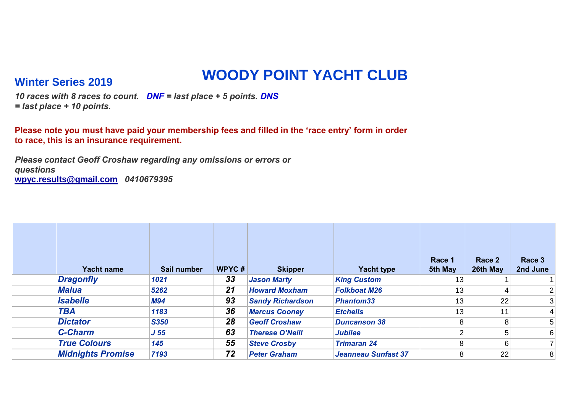## **WOODY POINT YACHT CLUB Winter Series 2019**

*10 races with 8 races to count. DNF = last place + 5 points. DNS = last place + 10 points.*

**Please note you must have paid your membership fees and filled in the 'race entry' form in order to race, this is an insurance requirement.** 

*Please contact Geoff Croshaw regarding any omissions or errors or questions* **wpyc.results@gmail.com** *0410679395*

| Yacht name               | Sail number     | <b>WPYC#</b> | <b>Skipper</b>          | <b>Yacht type</b>          | Race 1<br>5th May | Race 2<br>26th May | Race 3<br>2nd June |
|--------------------------|-----------------|--------------|-------------------------|----------------------------|-------------------|--------------------|--------------------|
| <b>Dragonfly</b>         | 1021            | 33           | <b>Jason Marty</b>      | <b>King Custom</b>         | 13                |                    |                    |
| <b>Malua</b>             | 5262            | 21           | <b>Howard Moxham</b>    | <b>Folkboat M26</b>        | 13                |                    | 2 <sub>1</sub>     |
| <b>Isabelle</b>          | <b>M94</b>      | 93           | <b>Sandy Richardson</b> | <b>Phantom33</b>           | 13                | 22                 | 3                  |
| <b>TBA</b>               | 1183            | 36           | <b>Marcus Cooney</b>    | <b>Etchells</b>            | 13                | 11                 | $\vert$            |
| <b>Dictator</b>          | <b>S350</b>     | 28           | <b>Geoff Croshaw</b>    | <b>Duncanson 38</b>        | 8                 | 8                  | 5                  |
| <b>C-Charm</b>           | J <sub>55</sub> | 63           | <b>Therese O'Neill</b>  | <b>Jubilee</b>             |                   | 5                  | 6                  |
| <b>True Colours</b>      | 145             | 55           | <b>Steve Crosby</b>     | <b>Trimaran 24</b>         | 8                 | 6                  |                    |
| <b>Midnights Promise</b> | 7193            | 72           | <b>Peter Graham</b>     | <b>Jeanneau Sunfast 37</b> | 8                 | 22                 | 8 <sup>°</sup>     |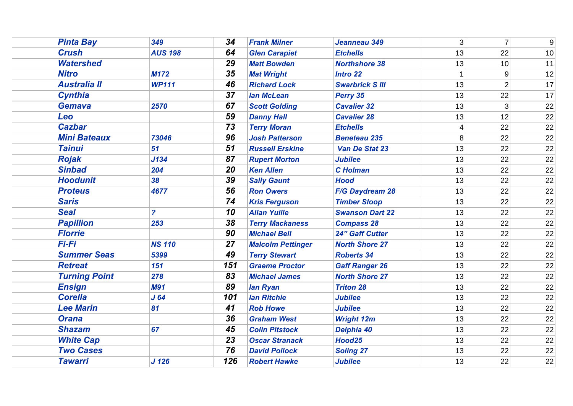| <b>Pinta Bay</b>     | 349              | 34              | <b>Frank Milner</b>      | Jeanneau 349           | $\overline{3}$  | $\overline{7}$ | $9\,$           |
|----------------------|------------------|-----------------|--------------------------|------------------------|-----------------|----------------|-----------------|
| <b>Crush</b>         | <b>AUS 198</b>   | 64              | <b>Glen Carapiet</b>     | <b>Etchells</b>        | 13              | 22             | 10 <sup>1</sup> |
| <b>Watershed</b>     |                  | 29              | <b>Matt Bowden</b>       | <b>Northshore 38</b>   | 13              | 10             | 11              |
| <b>Nitro</b>         | <b>M172</b>      | 35              | <b>Mat Wright</b>        | <b>Intro 22</b>        |                 | 9              | 12              |
| <b>Australia II</b>  | <b>WP111</b>     | 46              | <b>Richard Lock</b>      | <b>Swarbrick S III</b> | 13              | $\overline{2}$ | 17              |
| <b>Cynthia</b>       |                  | 37              | <b>lan McLean</b>        | Perry 35               | 13              | 22             | 17              |
| <b>Gemava</b>        | 2570             | 67              | <b>Scott Golding</b>     | <b>Cavalier 32</b>     | 13              | $\overline{3}$ | 22              |
| Leo                  |                  | 59              | <b>Danny Hall</b>        | <b>Cavalier 28</b>     | 13              | 12             | 22              |
| <b>Cazbar</b>        |                  | 73              | <b>Terry Moran</b>       | <b>Etchells</b>        | $\vert 4 \vert$ | 22             | 22              |
| <b>Mini Bateaux</b>  | 73046            | 96              | <b>Josh Patterson</b>    | <b>Beneteau 235</b>    | 8 <sup>1</sup>  | 22             | 22              |
| <b>Tainui</b>        | 51               | 51              | <b>Russell Erskine</b>   | Van De Stat 23         | 13              | 22             | 22              |
| <b>Rojak</b>         | J134             | 87              | <b>Rupert Morton</b>     | <b>Jubilee</b>         | 13              | 22             | 22              |
| <b>Sinbad</b>        | 204              | 20              | <b>Ken Allen</b>         | <b>C</b> Holman        | 13              | 22             | 22              |
| <b>Hoodunit</b>      | 38               | 39              | <b>Sally Gaunt</b>       | <b>Hood</b>            | 13              | 22             | 22              |
| <b>Proteus</b>       | 4677             | 56              | <b>Ron Owers</b>         | F/G Daydream 28        | 13              | 22             | 22              |
| <b>Saris</b>         |                  | 74              | <b>Kris Ferguson</b>     | <b>Timber Sloop</b>    | 13              | 22             | 22              |
| <b>Seal</b>          | $\overline{c}$   | 10              | <b>Allan Yuille</b>      | <b>Swanson Dart 22</b> | 13              | 22             | 22              |
| <b>Papillion</b>     | 253              | 38              | <b>Terry Mackaness</b>   | <b>Compass 28</b>      | 13              | 22             | 22              |
| <b>Florrie</b>       |                  | 90              | <b>Michael Bell</b>      | <b>24" Gaff Cutter</b> | 13              | 22             | 22              |
| <b>Fi-Fi</b>         | <b>NS 110</b>    | 27              | <b>Malcolm Pettinger</b> | <b>North Shore 27</b>  | 13              | 22             | 22              |
| <b>Summer Seas</b>   | 5399             | 49              | <b>Terry Stewart</b>     | <b>Roberts 34</b>      | 13              | 22             | 22              |
| <b>Retreat</b>       | 151              | 151             | <b>Graeme Proctor</b>    | <b>Gaff Ranger 26</b>  | 13              | 22             | 22              |
| <b>Turning Point</b> | 278              | 83              | <b>Michael James</b>     | <b>North Shore 27</b>  | 13              | 22             | 22              |
| <b>Ensign</b>        | <b>M91</b>       | 89              | lan Ryan                 | <b>Triton 28</b>       | 13              | 22             | 22              |
| <b>Corella</b>       | J64              | 101             | <b>Ian Ritchie</b>       | <b>Jubilee</b>         | 13              | 22             | 22              |
| <b>Lee Marin</b>     | 81               | 41              | <b>Rob Howe</b>          | <b>Jubilee</b>         | 13              | 22             | 22              |
| <b>Orana</b>         |                  | 36              | <b>Graham West</b>       | <b>Wright 12m</b>      | 13              | 22             | 22              |
| <b>Shazam</b>        | 67               | 45              | <b>Colin Pitstock</b>    | Delphia 40             | 13              | 22             | 22              |
| <b>White Cap</b>     |                  | $\overline{23}$ | <b>Oscar Stranack</b>    | Hood25                 | 13              | 22             | 22              |
| <b>Two Cases</b>     |                  | 76              | <b>David Pollock</b>     | <b>Soling 27</b>       | 13              | 22             | 22              |
| <b>Tawarri</b>       | J <sub>126</sub> | 126             | <b>Robert Hawke</b>      | <b>Jubilee</b>         | 13              | 22             | 22              |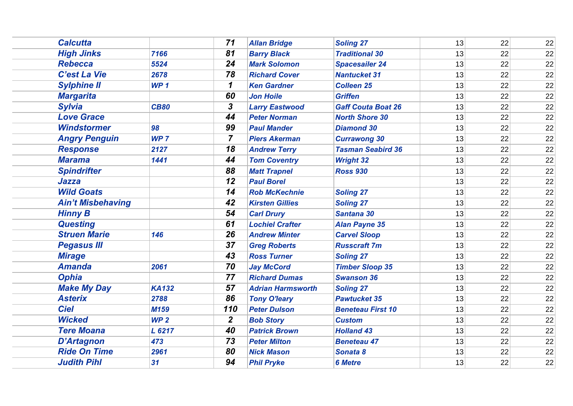| <b>Calcutta</b>          |                 | 71               | <b>Allan Bridge</b>      | <b>Soling 27</b>          | 13 | 22 | 22 |
|--------------------------|-----------------|------------------|--------------------------|---------------------------|----|----|----|
| <b>High Jinks</b>        | 7166            | 81               | <b>Barry Black</b>       | <b>Traditional 30</b>     | 13 | 22 | 22 |
| <b>Rebecca</b>           | 5524            | 24               | <b>Mark Solomon</b>      | <b>Spacesailer 24</b>     | 13 | 22 | 22 |
| C'est La Vie             | 2678            | 78               | <b>Richard Cover</b>     | <b>Nantucket 31</b>       | 13 | 22 | 22 |
| <b>Sylphine II</b>       | WP <sub>1</sub> | 1                | <b>Ken Gardner</b>       | <b>Colleen 25</b>         | 13 | 22 | 22 |
| <b>Margarita</b>         |                 | 60               | <b>Jon Hoile</b>         | <b>Griffen</b>            | 13 | 22 | 22 |
| <b>Sylvia</b>            | <b>CB80</b>     | 3                | <b>Larry Eastwood</b>    | <b>Gaff Couta Boat 26</b> | 13 | 22 | 22 |
| <b>Love Grace</b>        |                 | 44               | <b>Peter Norman</b>      | <b>North Shore 30</b>     | 13 | 22 | 22 |
| <b>Windstormer</b>       | 98              | 99               | <b>Paul Mander</b>       | <b>Diamond 30</b>         | 13 | 22 | 22 |
| <b>Angry Penguin</b>     | WP <sub>7</sub> | $\overline{7}$   | <b>Piers Akerman</b>     | <b>Currawong 30</b>       | 13 | 22 | 22 |
| <b>Response</b>          | 2127            | 18               | <b>Andrew Terry</b>      | <b>Tasman Seabird 36</b>  | 13 | 22 | 22 |
| <b>Marama</b>            | 1441            | 44               | <b>Tom Coventry</b>      | <b>Wright 32</b>          | 13 | 22 | 22 |
| <b>Spindrifter</b>       |                 | 88               | <b>Matt Trapnel</b>      | <b>Ross 930</b>           | 13 | 22 | 22 |
| <b>Jazza</b>             |                 | $\overline{12}$  | <b>Paul Borel</b>        |                           | 13 | 22 | 22 |
| <b>Wild Goats</b>        |                 | 14               | <b>Rob McKechnie</b>     | <b>Soling 27</b>          | 13 | 22 | 22 |
| <b>Ain't Misbehaving</b> |                 | 42               | <b>Kirsten Gillies</b>   | <b>Soling 27</b>          | 13 | 22 | 22 |
| <b>Hinny B</b>           |                 | 54               | <b>Carl Drury</b>        | Santana 30                | 13 | 22 | 22 |
| <b>Questing</b>          |                 | 61               | <b>Lochiel Crafter</b>   | <b>Alan Payne 35</b>      | 13 | 22 | 22 |
| <b>Struen Marie</b>      | 146             | 26               | <b>Andrew Minter</b>     | <b>Carvel Sloop</b>       | 13 | 22 | 22 |
| <b>Pegasus III</b>       |                 | 37               | <b>Greg Roberts</b>      | <b>Russcraft 7m</b>       | 13 | 22 | 22 |
| <b>Mirage</b>            |                 | 43               | <b>Ross Turner</b>       | <b>Soling 27</b>          | 13 | 22 | 22 |
| <b>Amanda</b>            | 2061            | 70               | <b>Jay McCord</b>        | <b>Timber Sloop 35</b>    | 13 | 22 | 22 |
| <b>Ophia</b>             |                 | 77               | <b>Richard Dumas</b>     | <b>Swanson 36</b>         | 13 | 22 | 22 |
| <b>Make My Day</b>       | <b>KA132</b>    | 57               | <b>Adrian Harmsworth</b> | <b>Soling 27</b>          | 13 | 22 | 22 |
| <b>Asterix</b>           | 2788            | 86               | <b>Tony O'leary</b>      | <b>Pawtucket 35</b>       | 13 | 22 | 22 |
| <b>Ciel</b>              | M159            | 110              | <b>Peter Dulson</b>      | <b>Beneteau First 10</b>  | 13 | 22 | 22 |
| <b>Wicked</b>            | WP <sub>2</sub> | $\boldsymbol{2}$ | <b>Bob Story</b>         | <b>Custom</b>             | 13 | 22 | 22 |
| <b>Tere Moana</b>        | L 6217          | 40               | <b>Patrick Brown</b>     | <b>Holland 43</b>         | 13 | 22 | 22 |
| <b>D'Artagnon</b>        | 473             | 73               | <b>Peter Milton</b>      | <b>Beneteau 47</b>        | 13 | 22 | 22 |
| <b>Ride On Time</b>      | 2961            | 80               | <b>Nick Mason</b>        | Sonata 8                  | 13 | 22 | 22 |
| <b>Judith Pihl</b>       | 31              | 94               | <b>Phil Pryke</b>        | <b>6 Metre</b>            | 13 | 22 | 22 |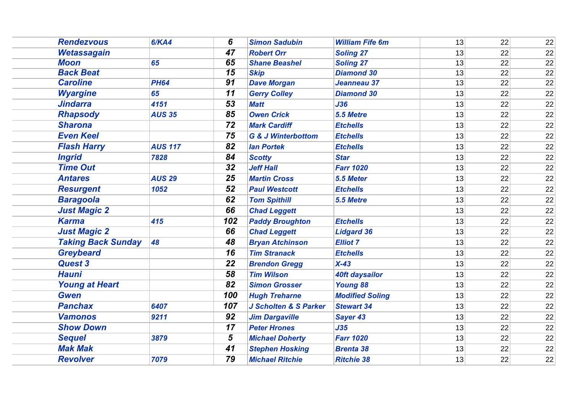| <b>Rendezvous</b>         | 6/KA4          | 6                            | <b>Simon Sadubin</b>             | <b>William Fife 6m</b> | 13 | 22 | 22 |
|---------------------------|----------------|------------------------------|----------------------------------|------------------------|----|----|----|
| Wetassagain               |                | 47                           | <b>Robert Orr</b>                | <b>Soling 27</b>       | 13 | 22 | 22 |
| <b>Moon</b>               | 65             | 65                           | <b>Shane Beashel</b>             | <b>Soling 27</b>       | 13 | 22 | 22 |
| <b>Back Beat</b>          |                | $\overline{\boldsymbol{15}}$ | <b>Skip</b>                      | <b>Diamond 30</b>      | 13 | 22 | 22 |
| <b>Caroline</b>           | <b>PH64</b>    | 91                           | <b>Dave Morgan</b>               | Jeanneau 37            | 13 | 22 | 22 |
| <b>Wyargine</b>           | 65             | 11                           | <b>Gerry Colley</b>              | <b>Diamond 30</b>      | 13 | 22 | 22 |
| <b>Jindarra</b>           | 4151           | 53                           | <b>Matt</b>                      | J36                    | 13 | 22 | 22 |
| <b>Rhapsody</b>           | <b>AUS 35</b>  | 85                           | <b>Owen Crick</b>                | 5.5 Metre              | 13 | 22 | 22 |
| <b>Sharona</b>            |                | 72                           | <b>Mark Cardiff</b>              | <b>Etchells</b>        | 13 | 22 | 22 |
| <b>Even Keel</b>          |                | 75                           | <b>G &amp; J Winterbottom</b>    | <b>Etchells</b>        | 13 | 22 | 22 |
| <b>Flash Harry</b>        | <b>AUS 117</b> | 82                           | <b>Ian Portek</b>                | <b>Etchells</b>        | 13 | 22 | 22 |
| <b>Ingrid</b>             | 7828           | 84                           | <b>Scotty</b>                    | <b>Star</b>            | 13 | 22 | 22 |
| <b>Time Out</b>           |                | 32                           | <b>Jeff Hall</b>                 | <b>Farr 1020</b>       | 13 | 22 | 22 |
| <b>Antares</b>            | <b>AUS 29</b>  | 25                           | <b>Martin Cross</b>              | 5.5 Meter              | 13 | 22 | 22 |
| <b>Resurgent</b>          | 1052           | 52                           | <b>Paul Westcott</b>             | <b>Etchells</b>        | 13 | 22 | 22 |
| <b>Baragoola</b>          |                | 62                           | <b>Tom Spithill</b>              | 5.5 Metre              | 13 | 22 | 22 |
| <b>Just Magic 2</b>       |                | 66                           | <b>Chad Leggett</b>              |                        | 13 | 22 | 22 |
| <b>Karma</b>              | 415            | 102                          | <b>Paddy Broughton</b>           | <b>Etchells</b>        | 13 | 22 | 22 |
| <b>Just Magic 2</b>       |                | 66                           | <b>Chad Leggett</b>              | <b>Lidgard 36</b>      | 13 | 22 | 22 |
| <b>Taking Back Sunday</b> | 48             | 48                           | <b>Bryan Atchinson</b>           | <b>Elliot 7</b>        | 13 | 22 | 22 |
| <b>Greybeard</b>          |                | 16                           | <b>Tim Stranack</b>              | <b>Etchells</b>        | 13 | 22 | 22 |
| <b>Quest 3</b>            |                | 22                           | <b>Brendon Gregg</b>             | $X-43$                 | 13 | 22 | 22 |
| <b>Hauni</b>              |                | 58                           | <b>Tim Wilson</b>                | 40ft daysailor         | 13 | 22 | 22 |
| <b>Young at Heart</b>     |                | 82                           | <b>Simon Grosser</b>             | <b>Young 88</b>        | 13 | 22 | 22 |
| <b>Gwen</b>               |                | 100                          | <b>Hugh Treharne</b>             | <b>Modified Soling</b> | 13 | 22 | 22 |
| <b>Panchax</b>            | 6407           | 107                          | <b>J Scholten &amp; S Parker</b> | <b>Stewart 34</b>      | 13 | 22 | 22 |
| <b>Vamonos</b>            | 9211           | 92                           | <b>Jim Dargaville</b>            | Sayer 43               | 13 | 22 | 22 |
| <b>Show Down</b>          |                | 17                           | <b>Peter Hrones</b>              | J35                    | 13 | 22 | 22 |
| <b>Sequel</b>             | 3879           | $5\phantom{.0}$              | <b>Michael Doherty</b>           | <b>Farr 1020</b>       | 13 | 22 | 22 |
| <b>Mak Mak</b>            |                | 41                           | <b>Stephen Hosking</b>           | <b>Brenta 38</b>       | 13 | 22 | 22 |
| <b>Revolver</b>           | 7079           | 79                           | <b>Michael Ritchie</b>           | <b>Ritchie 38</b>      | 13 | 22 | 22 |